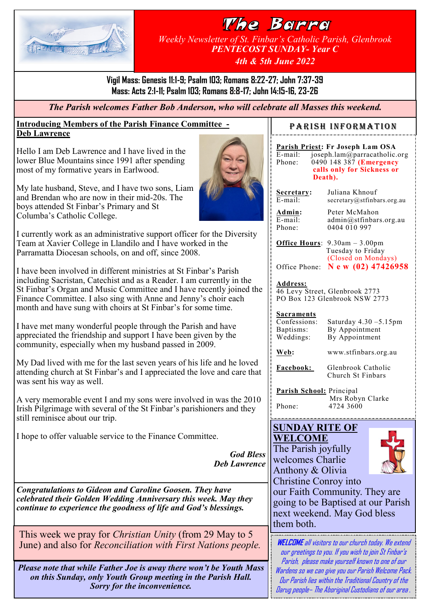

### The Barra *Weekly Newsletter of St. Finbar's Catholic Parish, Glenbrook PENTECOST SUNDAY- Year C 4th & 5th June 2022*

**Vigil Mass: Genesis 11:1-9; Psalm 103; Romans 8:22-27; John 7:37-39 Mass: Acts 2:1-11; Psalm 103; Romans 8:8-17; John 14:15-16, 23-26**

*The Parish welcomes Father Bob Anderson, who will celebrate all Masses this weekend.*

#### **Introducing Members of the Parish Finance Committee - Deb Lawrence**

Hello I am Deb Lawrence and I have lived in the lower Blue Mountains since 1991 after spending most of my formative years in Earlwood.

My late husband, Steve, and I have two sons, Liam and Brendan who are now in their mid-20s. The boys attended St Finbar's Primary and St Columba's Catholic College.



I currently work as an administrative support officer for the Diversity Team at Xavier College in Llandilo and I have worked in the Parramatta Diocesan schools, on and off, since 2008.

I have been involved in different ministries at St Finbar's Parish including Sacristan, Catechist and as a Reader. I am currently in the St Finbar's Organ and Music Committee and I have recently joined the Finance Committee. I also sing with Anne and Jenny's choir each month and have sung with choirs at St Finbar's for some time.

I have met many wonderful people through the Parish and have appreciated the friendship and support I have been given by the community, especially when my husband passed in 2009.

My Dad lived with me for the last seven years of his life and he loved attending church at St Finbar's and I appreciated the love and care that was sent his way as well.

A very memorable event I and my sons were involved in was the 2010 Irish Pilgrimage with several of the St Finbar's parishioners and they still reminisce about our trip.

I hope to offer valuable service to the Finance Committee.

*God Bless Deb Lawrence*

*Congratulations to Gideon and Caroline Goosen. They have celebrated their Golden Wedding Anniversary this week. May they continue to experience the goodness of life and God's blessings.*

This week we pray for *Christian Unity* (from 29 May to 5 June) and also for *Reconciliation with First Nations people.* 

*Please note that while Father Joe is away there won't be Youth Mass on this Sunday, only Youth Group meeting in the Parish Hall. Sorry for the inconvenience.*

### PARISH INFORMATION

**Parish Priest: Fr Joseph Lam OSA**<br>E-mail: joseph.lam@parracatholic. E-mail: joseph.lam@parracatholic.org<br>Phone: 0490 148 387 (Emergency 0490 148 387 **(Emergency calls only for Sickness or Death).**

**Secretary:** Juliana Khnouf  $\overline{E-mail:}$  secretary@stfinbars.org.au

**Admin:** Peter McMahon<br>E-mail: admin@stfinbars E-mail: admin@stfinbars.org.au<br>Phone: 0404 010 997 0404 010 997

**Office Hours**: 9.30am – 3.00pm Tuesday to Friday (Closed on Mondays) Office Phone: **N e w (02) 47426958**

**Address:**

46 Levy Street, Glenbrook 2773 PO Box 123 Glenbrook NSW 2773

# **Sacraments**<br>Confessions:

Confessions: Saturday 4.30 –5.15pm Baptisms: By Appointment<br>Weddings: By Appointment By Appointment

**Web:** www.stfinbars.org.au

**Facebook:** Glenbrook Catholic Church St Finbars

**Parish School:** Principal Mrs Robyn Clarke Phone: 4724 3600

#### **SUNDAY RITE OF WELCOME**

The Parish joyfully welcomes Charlie Anthony & Olivia



Christine Conroy into our Faith Community. They are going to be Baptised at our Parish next weekend. May God bless them both.

**WELCOME**all visitors to our church today. We extend our greetings to you. If you wish to join St Finbar's Parish, please make yourself known to one of our Wardens so we can give you our Parish Welcome Pack. Our Parish lies within the Traditional Country of the Darug people– The Aboriginal Custodians of our area *.*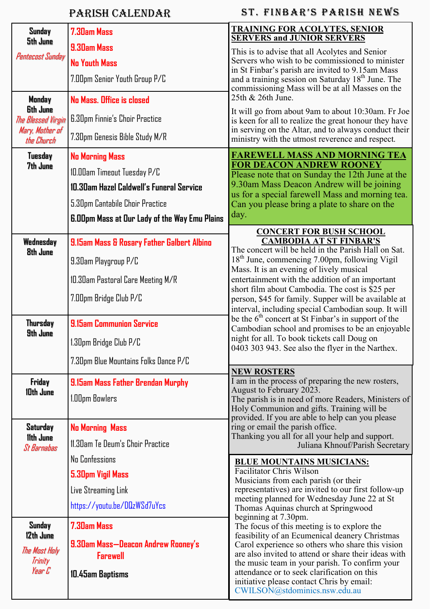## Parish Calendar

### ST. FINBAR'S PARISH NEWS

| Sunday<br>5th June                                                               | <b>7.30am Mass</b>                                                                                                                                                                    | <b>TRAINING FOR ACOLYTES, SENIOR</b><br><b>SERVERS and JUNIOR SERVERS</b>                                                                                                                                                                                                                                                                                                                                                                                                                                                                                                                                                                                                                                                                                                                                                                                                                                                                                                                                                                                                                                                                                                                                                                                                                                                                                                                                                                                                                                                                                                                                                                                                                                                                       |  |
|----------------------------------------------------------------------------------|---------------------------------------------------------------------------------------------------------------------------------------------------------------------------------------|-------------------------------------------------------------------------------------------------------------------------------------------------------------------------------------------------------------------------------------------------------------------------------------------------------------------------------------------------------------------------------------------------------------------------------------------------------------------------------------------------------------------------------------------------------------------------------------------------------------------------------------------------------------------------------------------------------------------------------------------------------------------------------------------------------------------------------------------------------------------------------------------------------------------------------------------------------------------------------------------------------------------------------------------------------------------------------------------------------------------------------------------------------------------------------------------------------------------------------------------------------------------------------------------------------------------------------------------------------------------------------------------------------------------------------------------------------------------------------------------------------------------------------------------------------------------------------------------------------------------------------------------------------------------------------------------------------------------------------------------------|--|
| Pentecost Sunday                                                                 | 9.30am Mass<br><b>No Youth Mass</b><br>7.00pm Senior Youth Group P/C                                                                                                                  | This is to advise that all Acolytes and Senior<br>Servers who wish to be commissioned to minister<br>in St Finbar's parish are invited to 9.15am Mass<br>and a training session on Saturday 18 <sup>th</sup> June. The<br>commissioning Mass will be at all Masses on the                                                                                                                                                                                                                                                                                                                                                                                                                                                                                                                                                                                                                                                                                                                                                                                                                                                                                                                                                                                                                                                                                                                                                                                                                                                                                                                                                                                                                                                                       |  |
| Monday<br><b>6th June</b><br>The Blessed Virgin<br>Mary, Mother of<br>the Church | No Mass. Office is closed<br><b>6.30pm Finnie's Choir Practice</b><br>7.30pm Genesis Bible Study M/R                                                                                  | 25th & 26th June.<br>It will go from about 9am to about 10:30am. Fr Joe<br>is keen for all to realize the great honour they have<br>in serving on the Altar, and to always conduct their<br>ministry with the utmost reverence and respect.                                                                                                                                                                                                                                                                                                                                                                                                                                                                                                                                                                                                                                                                                                                                                                                                                                                                                                                                                                                                                                                                                                                                                                                                                                                                                                                                                                                                                                                                                                     |  |
| Tuesday<br>7th June                                                              | <b>No Morning Mass</b><br>10.00am Timeout Tuesday P/C<br>10.30am Hazel Caldwell's Funeral Service<br>5.30pm Cantabile Choir Practice<br>6.00pm Mass at Our Lady of the Way Emu Plains | <b>FAREWELL MASS AND MORNING TEA</b><br><b>FOR DEACON ANDREW ROONEY</b><br>Please note that on Sunday the 12th June at the<br>9.30am Mass Deacon Andrew will be joining<br>us for a special farewell Mass and morning tea.<br>Can you please bring a plate to share on the<br>day.                                                                                                                                                                                                                                                                                                                                                                                                                                                                                                                                                                                                                                                                                                                                                                                                                                                                                                                                                                                                                                                                                                                                                                                                                                                                                                                                                                                                                                                              |  |
| Wednesday<br><b>8th June</b>                                                     | 9.15am Mass & Rosary Father Galbert Albino<br>9.30am Playgroup P/C<br>10.30am Pastoral Care Meeting M/R<br>7.00pm Bridge Club P/C                                                     | <b>CONCERT FOR BUSH SCHOOL</b><br><b>CAMBODIA AT ST FINBAR'S</b><br>The concert will be held in the Parish Hall on Sat.<br>18 <sup>th</sup> June, commencing 7.00pm, following Vigil<br>Mass. It is an evening of lively musical<br>entertainment with the addition of an important<br>short film about Cambodia. The cost is \$25 per<br>person, \$45 for family. Supper will be available at<br>interval, including special Cambodian soup. It will<br>be the $6th$ concert at St Finbar's in support of the<br>Cambodian school and promises to be an enjoyable<br>night for all. To book tickets call Doug on<br>0403 303 943. See also the flyer in the Narthex.<br><b>NEW ROSTERS</b><br>I am in the process of preparing the new rosters,<br>August to February 2023.<br>The parish is in need of more Readers, Ministers of<br>Holy Communion and gifts. Training will be<br>provided. If you are able to help can you please<br>ring or email the parish office.<br>Thanking you all for all your help and support.<br>Juliana Khnouf/Parish Secretary<br><b>BLUE MOUNTAINS MUSICIANS:</b><br><b>Facilitator Chris Wilson</b><br>Musicians from each parish (or their<br>representatives) are invited to our first follow-up<br>meeting planned for Wednesday June 22 at St<br>Thomas Aquinas church at Springwood<br>beginning at 7.30pm.<br>The focus of this meeting is to explore the<br>feasibility of an Ecumenical deanery Christmas<br>Carol experience so others who share this vision<br>are also invited to attend or share their ideas with<br>the music team in your parish. To confirm your<br>attendance or to seek clarification on this<br>initiative please contact Chris by email:<br>CWILSON@stdominics.nsw.edu.au |  |
| <b>Thursday</b><br>9th June                                                      | <b>9.15am Communion Service</b><br>I.30pm Bridge Club P/C<br>7.30pm Blue Mountains Folks Dance P/C                                                                                    |                                                                                                                                                                                                                                                                                                                                                                                                                                                                                                                                                                                                                                                                                                                                                                                                                                                                                                                                                                                                                                                                                                                                                                                                                                                                                                                                                                                                                                                                                                                                                                                                                                                                                                                                                 |  |
| Friday<br>10th June                                                              | 9.15am Mass Father Brendan Murphy<br>1.00pm Bowlers                                                                                                                                   |                                                                                                                                                                                                                                                                                                                                                                                                                                                                                                                                                                                                                                                                                                                                                                                                                                                                                                                                                                                                                                                                                                                                                                                                                                                                                                                                                                                                                                                                                                                                                                                                                                                                                                                                                 |  |
| <b>Saturday</b><br>11th June<br>St Barnabas                                      | <b>No Morning Mass</b><br>11.30am Te Deum's Choir Practice<br>No Confessions<br>5.30pm Vigil Mass<br>Live Streaming Link<br>https://youtu.be/DQzWSd7uYcs                              |                                                                                                                                                                                                                                                                                                                                                                                                                                                                                                                                                                                                                                                                                                                                                                                                                                                                                                                                                                                                                                                                                                                                                                                                                                                                                                                                                                                                                                                                                                                                                                                                                                                                                                                                                 |  |
| Sunday<br>12th June<br>The Mast Haly<br>Trinity<br>Year C                        | <b>7.30am Mass</b><br>9.30am Mass-Deacon Andrew Rooney's<br><b>Farewell</b><br>10.45am Baptisms                                                                                       |                                                                                                                                                                                                                                                                                                                                                                                                                                                                                                                                                                                                                                                                                                                                                                                                                                                                                                                                                                                                                                                                                                                                                                                                                                                                                                                                                                                                                                                                                                                                                                                                                                                                                                                                                 |  |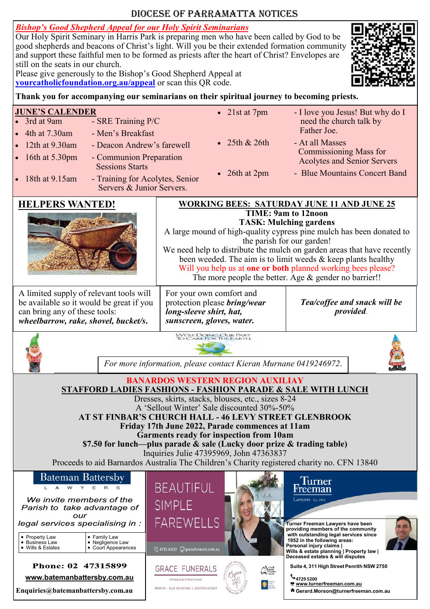### Diocese of Parramatta Notices

*Bishop's Good Shepherd Appeal for our Holy Spirit Seminarians*

Our Holy Spirit Seminary in Harris Park is preparing men who have been called by God to be good shepherds and beacons of Christ's light. Will you be their extended formation community and support these faithful men to be formed as priests after the heart of Christ? Envelopes are still on the seats in our church.

Please give generously to the Bishop's Good Shepherd Appeal at **[yourcatholicfoundation.org.au/appeal](http://yourcatholicfoundation.org.au/appeal)** or scan this QR code.